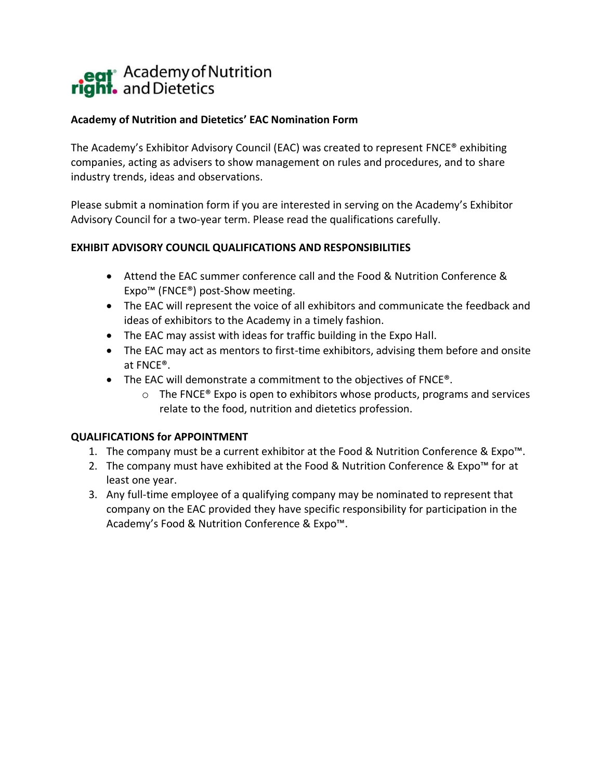# eat<sup>®</sup> Academy of Nutrition<br>**right.** and Dietetics

### **Academy of Nutrition and Dietetics' EAC Nomination Form**

The Academy's Exhibitor Advisory Council (EAC) was created to represent FNCE® exhibiting companies, acting as advisers to show management on rules and procedures, and to share industry trends, ideas and observations.

Please submit a nomination form if you are interested in serving on the Academy's Exhibitor Advisory Council for a two-year term. Please read the qualifications carefully.

#### **EXHIBIT ADVISORY COUNCIL QUALIFICATIONS AND RESPONSIBILITIES**

- Attend the EAC summer conference call and the Food & Nutrition Conference & Expo™ (FNCE®) post-Show meeting.
- The EAC will represent the voice of all exhibitors and communicate the feedback and ideas of exhibitors to the Academy in a timely fashion.
- The EAC may assist with ideas for traffic building in the Expo Hall.
- The EAC may act as mentors to first-time exhibitors, advising them before and onsite at FNCE®.
- The EAC will demonstrate a commitment to the objectives of FNCE®.
	- $\circ$  The FNCE® Expo is open to exhibitors whose products, programs and services relate to the food, nutrition and dietetics profession.

## **QUALIFICATIONS for APPOINTMENT**

- 1. The company must be a current exhibitor at the Food & Nutrition Conference & Expo™.
- 2. The company must have exhibited at the Food & Nutrition Conference & Expo™ for at least one year.
- 3. Any full-time employee of a qualifying company may be nominated to represent that company on the EAC provided they have specific responsibility for participation in the Academy's Food & Nutrition Conference & Expo™.